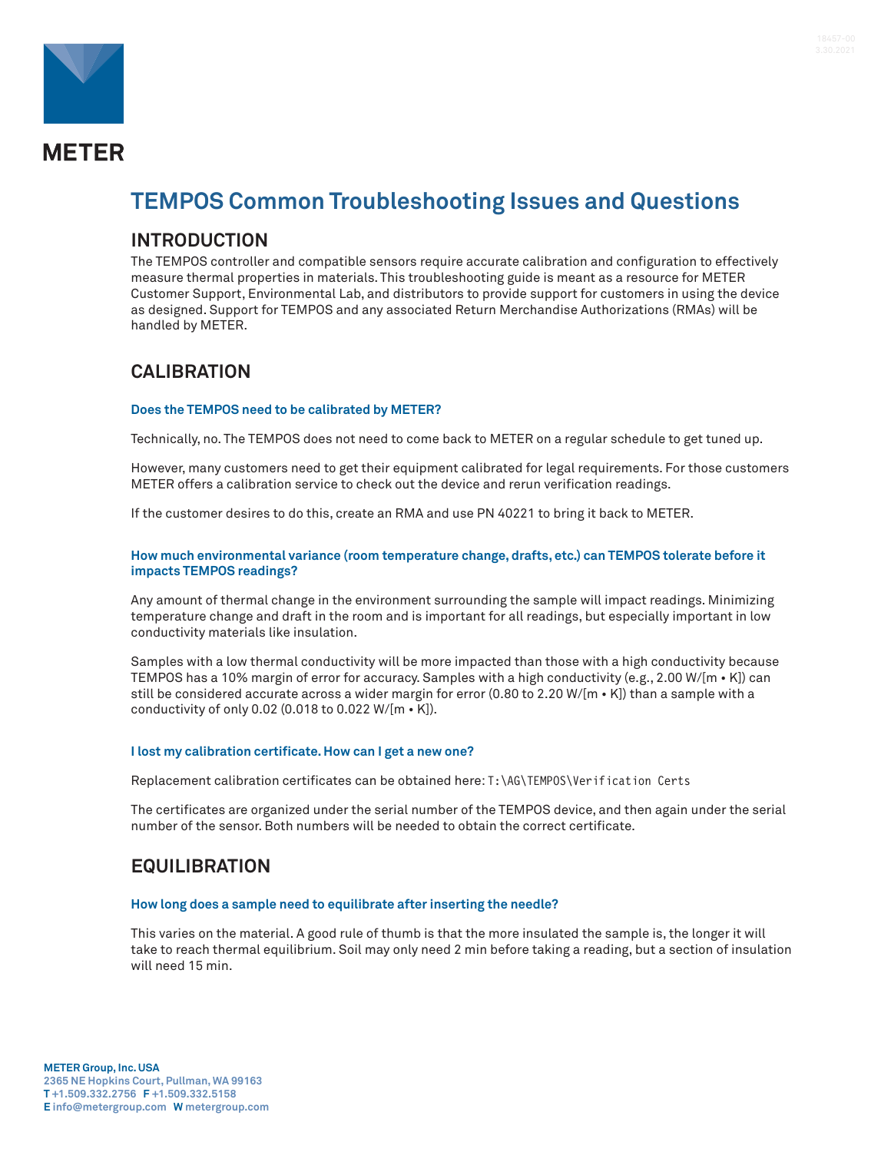

# **METER**

## **TEMPOS Common Troubleshooting Issues and Questions**

## **INTRODUCTION**

The TEMPOS controller and compatible sensors require accurate calibration and configuration to effectively measure thermal properties in materials. This troubleshooting guide is meant as a resource for METER Customer Support, Environmental Lab, and distributors to provide support for customers in using the device as designed. Support for TEMPOS and any associated Return Merchandise Authorizations (RMAs) will be handled by METER.

## **CALIBRATION**

#### **Does the TEMPOS need to be calibrated by METER?**

Technically, no. The TEMPOS does not need to come back to METER on a regular schedule to get tuned up.

However, many customers need to get their equipment calibrated for legal requirements. For those customers METER offers a calibration service to check out the device and rerun verification readings.

If the customer desires to do this, create an RMA and use PN 40221 to bring it back to METER.

#### **How much environmental variance (room temperature change, drafts, etc.) can TEMPOS tolerate before it impacts TEMPOS readings?**

Any amount of thermal change in the environment surrounding the sample will impact readings. Minimizing temperature change and draft in the room and is important for all readings, but especially important in low conductivity materials like insulation.

Samples with a low thermal conductivity will be more impacted than those with a high conductivity because TEMPOS has a 10% margin of error for accuracy. Samples with a high conductivity (e.g., 2.00 W/[m • K]) can still be considered accurate across a wider margin for error (0.80 to 2.20 W/[m • K]) than a sample with a conductivity of only 0.02 (0.018 to 0.022 W/[m • K]).

#### **I lost my calibration certificate. How can I get a new one?**

Replacement calibration certificates can be obtained here: T:\AG\TEMPOS\Verification Certs

The certificates are organized under the serial number of the TEMPOS device, and then again under the serial number of the sensor. Both numbers will be needed to obtain the correct certificate.

## **EQUILIBRATION**

#### **How long does a sample need to equilibrate after inserting the needle?**

This varies on the material. A good rule of thumb is that the more insulated the sample is, the longer it will take to reach thermal equilibrium. Soil may only need 2 min before taking a reading, but a section of insulation will need 15 min.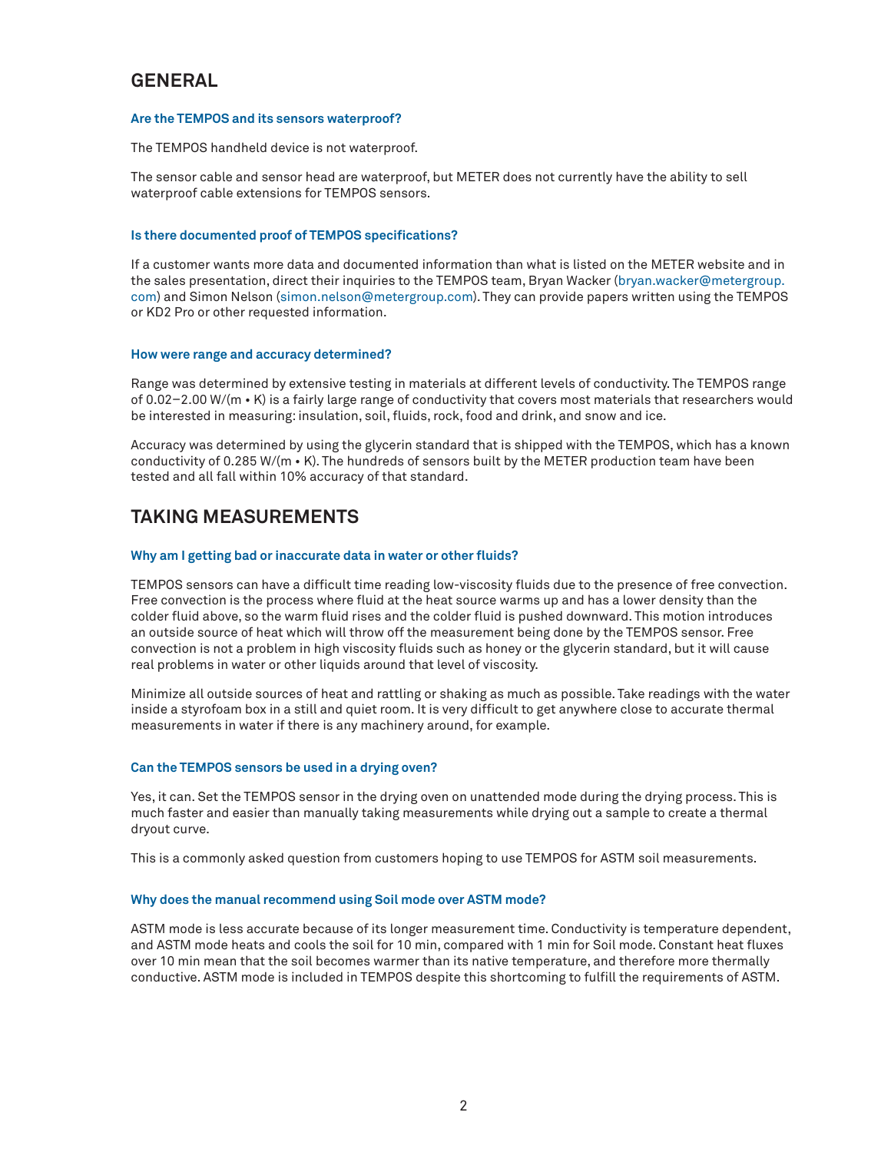## **GENERAL**

#### **Are the TEMPOS and its sensors waterproof?**

The TEMPOS handheld device is not waterproof.

The sensor cable and sensor head are waterproof, but METER does not currently have the ability to sell waterproof cable extensions for TEMPOS sensors.

#### **Is there documented proof of TEMPOS specifications?**

If a customer wants more data and documented information than what is listed on the METER website and in the sales presentation, direct their inquiries to the TEMPOS team, Bryan Wacker ([bryan.wacker@metergroup.](mailto:bryan.wacker%40metergroup.com?subject=) [com\)](mailto:bryan.wacker%40metergroup.com?subject=) and Simon Nelson ([simon.nelson@metergroup.com](mailto:simon.nelson%40metergroup.com?subject=)). They can provide papers written using the TEMPOS or KD2 Pro or other requested information.

#### **How were range and accuracy determined?**

Range was determined by extensive testing in materials at different levels of conductivity. The TEMPOS range of 0.02–2.00 W/(m • K) is a fairly large range of conductivity that covers most materials that researchers would be interested in measuring: insulation, soil, fluids, rock, food and drink, and snow and ice.

Accuracy was determined by using the glycerin standard that is shipped with the TEMPOS, which has a known conductivity of 0.285 W/(m • K). The hundreds of sensors built by the METER production team have been tested and all fall within 10% accuracy of that standard.

## **TAKING MEASUREMENTS**

#### **Why am I getting bad or inaccurate data in water or other fluids?**

TEMPOS sensors can have a difficult time reading low-viscosity fluids due to the presence of free convection. Free convection is the process where fluid at the heat source warms up and has a lower density than the colder fluid above, so the warm fluid rises and the colder fluid is pushed downward. This motion introduces an outside source of heat which will throw off the measurement being done by the TEMPOS sensor. Free convection is not a problem in high viscosity fluids such as honey or the glycerin standard, but it will cause real problems in water or other liquids around that level of viscosity.

Minimize all outside sources of heat and rattling or shaking as much as possible. Take readings with the water inside a styrofoam box in a still and quiet room. It is very difficult to get anywhere close to accurate thermal measurements in water if there is any machinery around, for example.

#### **Can the TEMPOS sensors be used in a drying oven?**

Yes, it can. Set the TEMPOS sensor in the drying oven on unattended mode during the drying process. This is much faster and easier than manually taking measurements while drying out a sample to create a thermal dryout curve.

This is a commonly asked question from customers hoping to use TEMPOS for ASTM soil measurements.

#### **Why does the manual recommend using Soil mode over ASTM mode?**

ASTM mode is less accurate because of its longer measurement time. Conductivity is temperature dependent, and ASTM mode heats and cools the soil for 10 min, compared with 1 min for Soil mode. Constant heat fluxes over 10 min mean that the soil becomes warmer than its native temperature, and therefore more thermally conductive. ASTM mode is included in TEMPOS despite this shortcoming to fulfill the requirements of ASTM.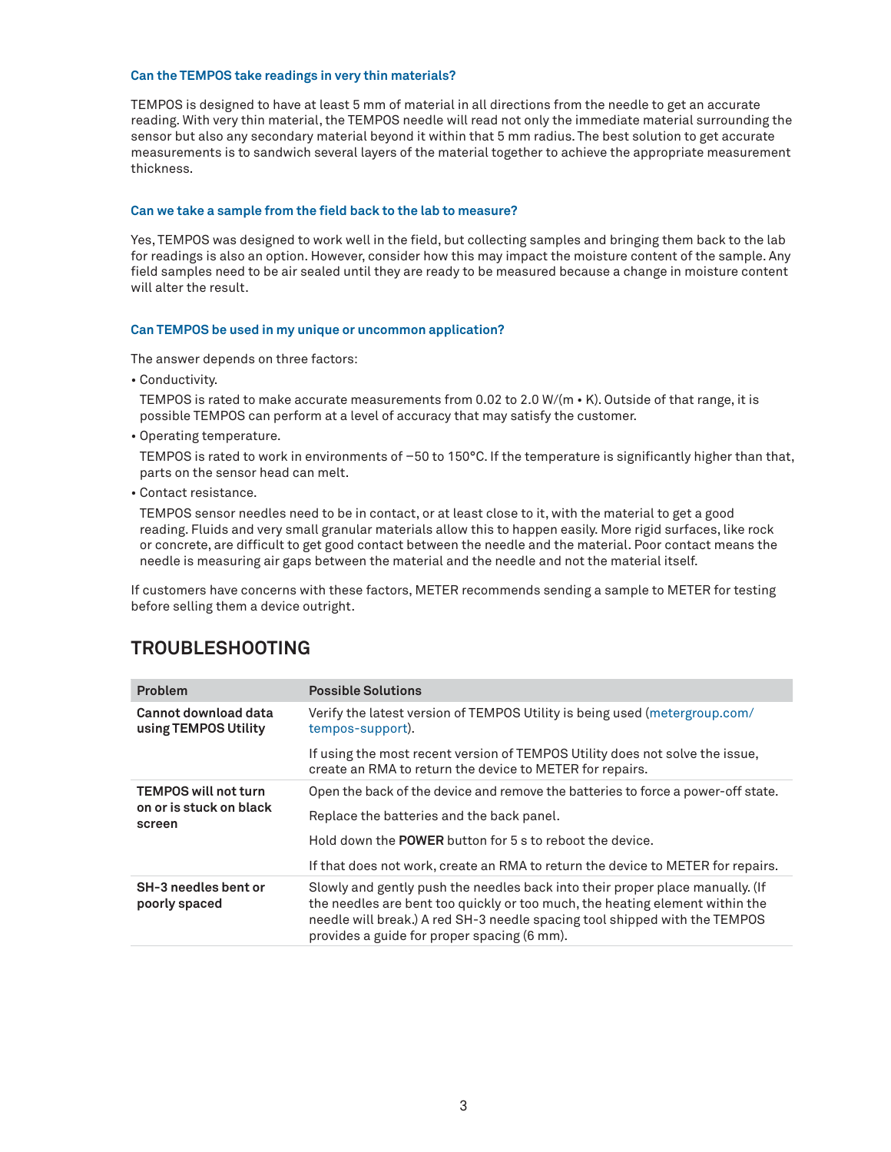#### **Can the TEMPOS take readings in very thin materials?**

TEMPOS is designed to have at least 5 mm of material in all directions from the needle to get an accurate reading. With very thin material, the TEMPOS needle will read not only the immediate material surrounding the sensor but also any secondary material beyond it within that 5 mm radius. The best solution to get accurate measurements is to sandwich several layers of the material together to achieve the appropriate measurement thickness.

#### **Can we take a sample from the field back to the lab to measure?**

Yes, TEMPOS was designed to work well in the field, but collecting samples and bringing them back to the lab for readings is also an option. However, consider how this may impact the moisture content of the sample. Any field samples need to be air sealed until they are ready to be measured because a change in moisture content will alter the result.

#### **Can TEMPOS be used in my unique or uncommon application?**

The answer depends on three factors:

• Conductivity.

TEMPOS is rated to make accurate measurements from 0.02 to 2.0 W/(m • K). Outside of that range, it is possible TEMPOS can perform at a level of accuracy that may satisfy the customer.

• Operating temperature.

TEMPOS is rated to work in environments of –50 to 150°C. If the temperature is significantly higher than that, parts on the sensor head can melt.

• Contact resistance.

TEMPOS sensor needles need to be in contact, or at least close to it, with the material to get a good reading. Fluids and very small granular materials allow this to happen easily. More rigid surfaces, like rock or concrete, are difficult to get good contact between the needle and the material. Poor contact means the needle is measuring air gaps between the material and the needle and not the material itself.

If customers have concerns with these factors, METER recommends sending a sample to METER for testing before selling them a device outright.

### **TROUBLESHOOTING**

| <b>Problem</b>                                                   | <b>Possible Solutions</b>                                                                                                                                                                                                                                                                  |
|------------------------------------------------------------------|--------------------------------------------------------------------------------------------------------------------------------------------------------------------------------------------------------------------------------------------------------------------------------------------|
| Cannot download data<br>using TEMPOS Utility                     | Verify the latest version of TEMPOS Utility is being used (metergroup.com/<br>tempos-support).                                                                                                                                                                                             |
|                                                                  | If using the most recent version of TEMPOS Utility does not solve the issue,<br>create an RMA to return the device to METER for repairs.                                                                                                                                                   |
| <b>TEMPOS will not turn</b><br>on or is stuck on black<br>screen | Open the back of the device and remove the batteries to force a power-off state.                                                                                                                                                                                                           |
|                                                                  | Replace the batteries and the back panel.                                                                                                                                                                                                                                                  |
|                                                                  | Hold down the <b>POWER</b> button for 5 s to reboot the device.                                                                                                                                                                                                                            |
|                                                                  | If that does not work, create an RMA to return the device to METER for repairs.                                                                                                                                                                                                            |
| SH-3 needles bent or<br>poorly spaced                            | Slowly and gently push the needles back into their proper place manually. (If<br>the needles are bent too quickly or too much, the heating element within the<br>needle will break.) A red SH-3 needle spacing tool shipped with the TEMPOS<br>provides a guide for proper spacing (6 mm). |